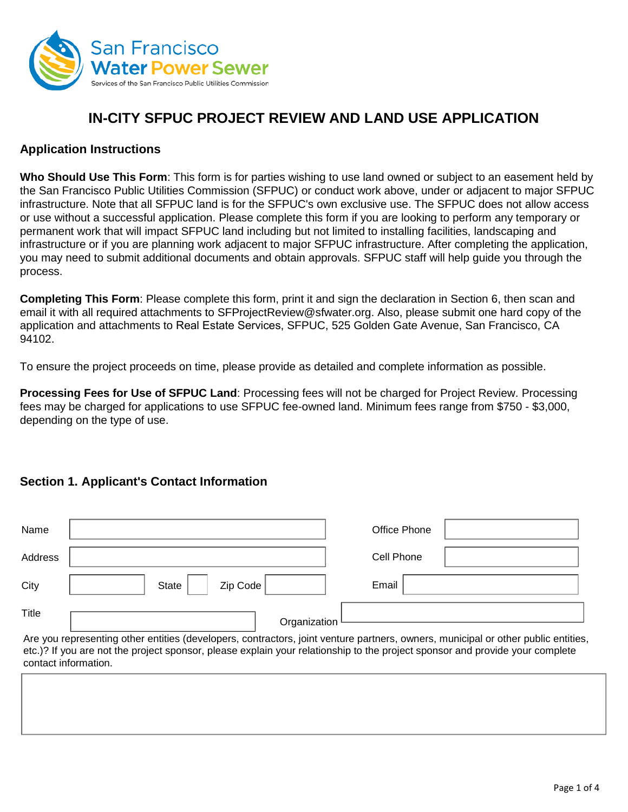

# **IN-CITY SFPUC PROJECT REVIEW AND LAND USE APPLICATION**

## **Application Instructions**

**Who Should Use This Form**: This form is for parties wishing to use land owned or subject to an easement held by the San Francisco Public Utilities Commission (SFPUC) or conduct work above, under or adjacent to major SFPUC infrastructure. Note that all SFPUC land is for the SFPUC's own exclusive use. The SFPUC does not allow access or use without a successful application. Please complete this form if you are looking to perform any temporary or permanent work that will impact SFPUC land including but not limited to installing facilities, landscaping and infrastructure or if you are planning work adjacent to major SFPUC infrastructure. After completing the application, you may need to submit additional documents and obtain approvals. SFPUC staff will help guide you through the process.

**Completing This Form**: Please complete this form, print it and sign the declaration in Section 6, then scan and email it with all required attachments t[o SFProjectReview@sfwater.org.](mailto:SFProjectReview@sfwater.org) Also, please submit one hard copy of the application and attachments to Real Estate Services, SFPUC, 525 Golden Gate Avenue, San Francisco, CA 94102.

To ensure the project proceeds on time, please provide as detailed and complete information as possible.

**Processing Fees for Use of SFPUC Land**: Processing fees will not be charged for Project Review. Processing fees may be charged for applications to use SFPUC fee-owned land. Minimum fees range from \$750 - \$3,000, depending on the type of use.

## **Section 1. Applicant's Contact Information**

| Name                 |                                                                                                                                                                                                                                                                   | Office Phone |  |
|----------------------|-------------------------------------------------------------------------------------------------------------------------------------------------------------------------------------------------------------------------------------------------------------------|--------------|--|
| Address              |                                                                                                                                                                                                                                                                   | Cell Phone   |  |
| City                 | Zip Code<br><b>State</b>                                                                                                                                                                                                                                          | Email        |  |
| Title                | Organization                                                                                                                                                                                                                                                      |              |  |
| contact information. | Are you representing other entities (developers, contractors, joint venture partners, owners, municipal or other public entities,<br>etc.)? If you are not the project sponsor, please explain your relationship to the project sponsor and provide your complete |              |  |
|                      |                                                                                                                                                                                                                                                                   |              |  |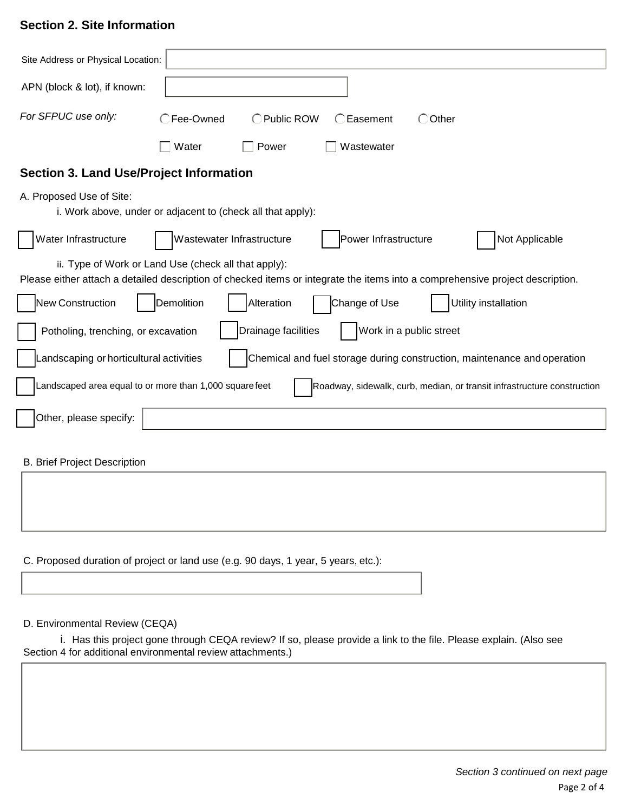## **Section 2. Site Information**

| Site Address or Physical Location:                                                                                                                                                    |  |  |  |  |
|---------------------------------------------------------------------------------------------------------------------------------------------------------------------------------------|--|--|--|--|
| APN (block & lot), if known:                                                                                                                                                          |  |  |  |  |
| For SFPUC use only:<br>○Fee-Owned<br>◯ Public ROW<br>○Easement<br>◯ Other                                                                                                             |  |  |  |  |
| Water<br>Wastewater<br>Power                                                                                                                                                          |  |  |  |  |
| <b>Section 3. Land Use/Project Information</b>                                                                                                                                        |  |  |  |  |
| A. Proposed Use of Site:<br>i. Work above, under or adjacent to (check all that apply):                                                                                               |  |  |  |  |
| Water Infrastructure<br>Power Infrastructure<br>Not Applicable<br>Wastewater Infrastructure                                                                                           |  |  |  |  |
| ii. Type of Work or Land Use (check all that apply):<br>Please either attach a detailed description of checked items or integrate the items into a comprehensive project description. |  |  |  |  |
| New Construction<br>Demolition<br>Change of Use<br>Utility installation<br>Alteration                                                                                                 |  |  |  |  |
| Work in a public street<br>Drainage facilities<br>Potholing, trenching, or excavation                                                                                                 |  |  |  |  |
| Chemical and fuel storage during construction, maintenance and operation<br>Landscaping or horticultural activities                                                                   |  |  |  |  |
| Landscaped area equal to or more than 1,000 square feet<br>Roadway, sidewalk, curb, median, or transit infrastructure construction                                                    |  |  |  |  |
| Other, please specify:                                                                                                                                                                |  |  |  |  |
| <b>B. Brief Project Description</b>                                                                                                                                                   |  |  |  |  |
|                                                                                                                                                                                       |  |  |  |  |
|                                                                                                                                                                                       |  |  |  |  |

C. Proposed duration of project or land use (e.g. 90 days, 1 year, 5 years, etc.):

#### D. Environmental Review (CEQA)

i. Has this project gone through CEQA review? If so, please provide a link to the file. Please explain. (Also see Section 4 for additional environmental review attachments.)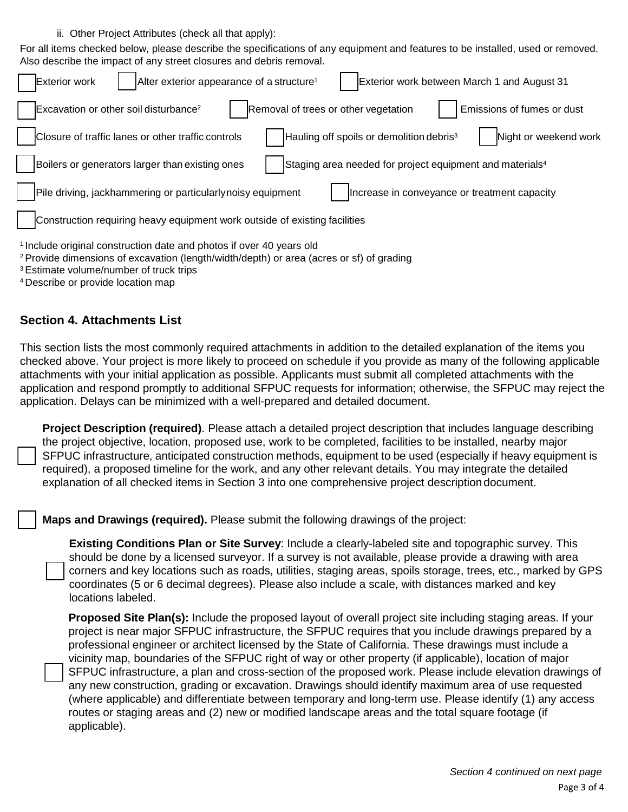ii. Other Project Attributes (check all that apply):

For all items checked below, please describe the specifications of any equipment and features to be installed, used or removed. Also describe the impact of any street closures and debris removal.

| <b>Exterior work</b><br>Alter exterior appearance of a structure <sup>1</sup><br>Exterior work between March 1 and August 31                                                           |
|----------------------------------------------------------------------------------------------------------------------------------------------------------------------------------------|
| Excavation or other soil disturbance <sup>2</sup><br>Removal of trees or other vegetation<br>Emissions of fumes or dust                                                                |
| Closure of traffic lanes or other traffic controls<br>Night or weekend work<br>Hauling off spoils or demolition debris <sup>3</sup>                                                    |
| Boilers or generators larger than existing ones<br>Staging area needed for project equipment and materials <sup>4</sup>                                                                |
| Pile driving, jackhammering or particularlynoisy equipment<br>Increase in conveyance or treatment capacity                                                                             |
| Construction requiring heavy equipment work outside of existing facilities                                                                                                             |
| <sup>1</sup> Include original construction date and photos if over 40 years old<br><sup>2</sup> Provide dimensions of excavation (length/width/depth) or area (acres or sf) of grading |

- 3 Estimate volume/number of truck trips
- 4 Describe or provide location map

## **Section 4. Attachments List**

This section lists the most commonly required attachments in addition to the detailed explanation of the items you checked above. Your project is more likely to proceed on schedule if you provide as many of the following applicable attachments with your initial application as possible. Applicants must submit all completed attachments with the application and respond promptly to additional SFPUC requests for information; otherwise, the SFPUC may reject the application. Delays can be minimized with a well-prepared and detailed document.

**Project Description (required)**. Please attach a detailed project description that includes language describing the project objective, location, proposed use, work to be completed, facilities to be installed, nearby major SFPUC infrastructure, anticipated construction methods, equipment to be used (especially if heavy equipment is required), a proposed timeline for the work, and any other relevant details. You may integrate the detailed explanation of all checked items in Section 3 into one comprehensive project description document.

**Maps and Drawings (required).** Please submit the following drawings of the project:

**Existing Conditions Plan or Site Survey**: Include a clearly-labeled site and topographic survey. This should be done by a licensed surveyor. If a survey is not available, please provide a drawing with area corners and key locations such as roads, utilities, staging areas, spoils storage, trees, etc., marked by GPS coordinates (5 or 6 decimal degrees). Please also include a scale, with distances marked and key locations labeled.

**Proposed Site Plan(s):** Include the proposed layout of overall project site including staging areas. If your project is near major SFPUC infrastructure, the SFPUC requires that you include drawings prepared by a professional engineer or architect licensed by the State of California. These drawings must include a vicinity map, boundaries of the SFPUC right of way or other property (if applicable), location of major SFPUC infrastructure, a plan and cross-section of the proposed work. Please include elevation drawings of any new construction, grading or excavation. Drawings should identify maximum area of use requested (where applicable) and differentiate between temporary and long-term use. Please identify (1) any access routes or staging areas and (2) new or modified landscape areas and the total square footage (if applicable).